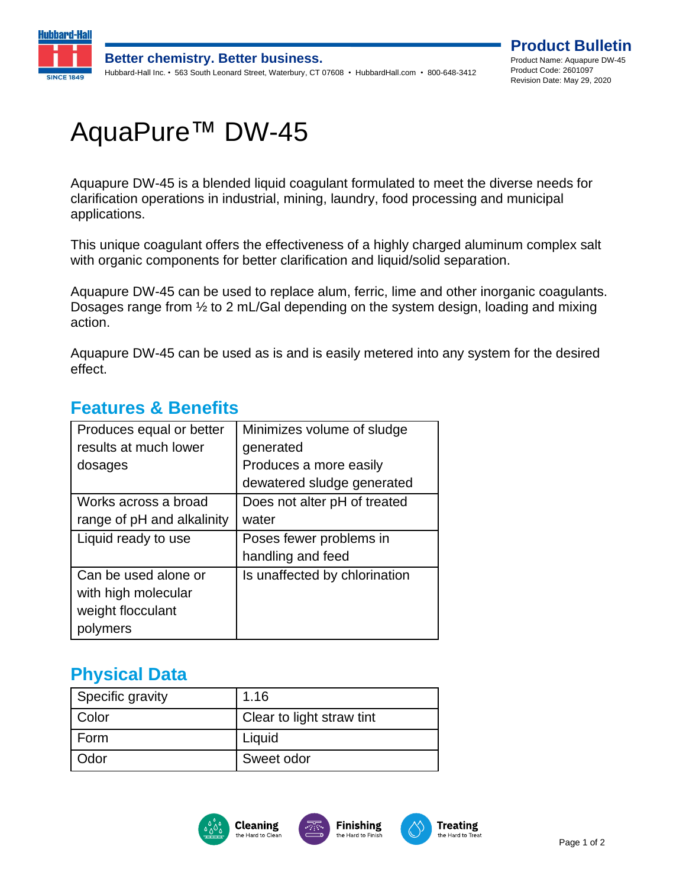

# AquaPure™ DW-45

Aquapure DW-45 is a blended liquid coagulant formulated to meet the diverse needs for clarification operations in industrial, mining, laundry, food processing and municipal applications.

This unique coagulant offers the effectiveness of a highly charged aluminum complex salt with organic components for better clarification and liquid/solid separation.

Aquapure DW-45 can be used to replace alum, ferric, lime and other inorganic coagulants. Dosages range from ½ to 2 mL/Gal depending on the system design, loading and mixing action.

Aquapure DW-45 can be used as is and is easily metered into any system for the desired effect.

| Produces equal or better   | Minimizes volume of sludge    |
|----------------------------|-------------------------------|
| results at much lower      | generated                     |
| dosages                    | Produces a more easily        |
|                            | dewatered sludge generated    |
| Works across a broad       | Does not alter pH of treated  |
| range of pH and alkalinity | water                         |
| Liquid ready to use        | Poses fewer problems in       |
|                            | handling and feed             |
| Can be used alone or       | Is unaffected by chlorination |
| with high molecular        |                               |
|                            |                               |
| weight flocculant          |                               |

#### **Features & Benefits**

## **Physical Data**

| Specific gravity | 1.16                      |
|------------------|---------------------------|
|                  |                           |
| <b>Color</b>     | Clear to light straw tint |
| Form             | Liquid                    |
| <b>Odor</b>      | Sweet odor                |